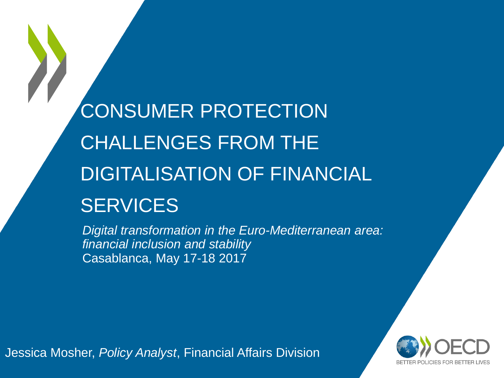CONSUMER PROTECTION CHALLENGES FROM THE DIGITALISATION OF FINANCIAL **SERVICES** 

*Digital transformation in the Euro-Mediterranean area: financial inclusion and stability* Casablanca, May 17-18 2017

Jessica Mosher, *Policy Analyst*, Financial Affairs Division

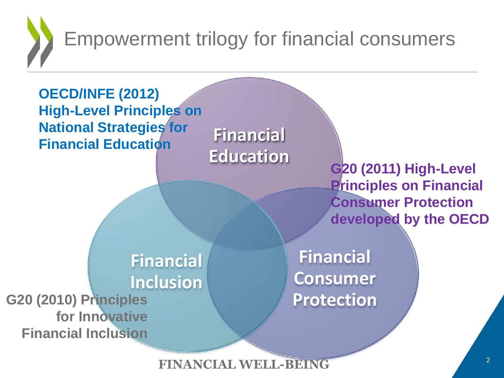Empowerment trilogy for financial consumers



**FINANCIAL WELL-BEING**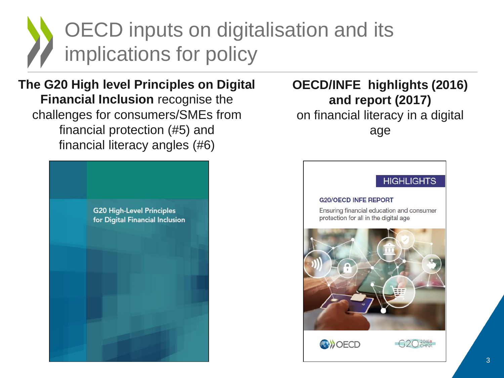# OECD inputs on digitalisation and its implications for policy

**The G20 High level Principles on Digital Financial Inclusion** recognise the challenges for consumers/SMEs from financial protection (#5) and financial literacy angles (#6)



#### **OECD/INFE highlights (2016) and report (2017)** on financial literacy in a digital age

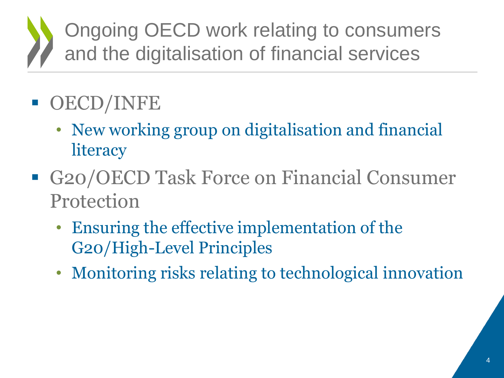## Ongoing OECD work relating to consumers and the digitalisation of financial services

#### OECD/INFE

- New working group on digitalisation and financial **literacy**
- G20/OECD Task Force on Financial Consumer Protection
	- Ensuring the effective implementation of the G20/High-Level Principles
	- Monitoring risks relating to technological innovation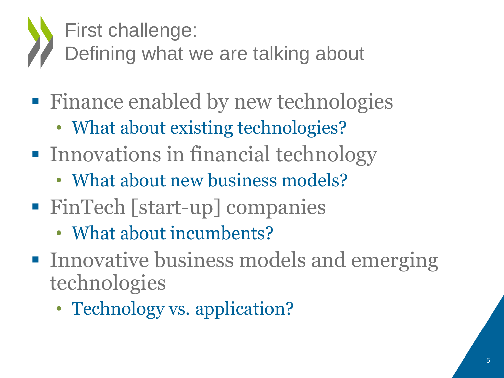# First challenge:

Defining what we are talking about

- Finance enabled by new technologies
	- What about existing technologies?
- **Innovations in financial technology** 
	- What about new business models?
- FinTech [start-up] companies
	- What about incumbents?
- **Innovative business models and emerging** technologies
	- Technology vs. application?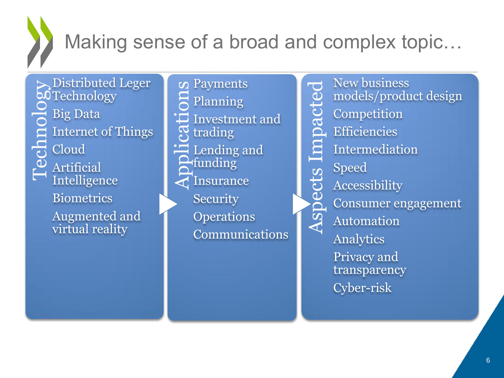

#### Making sense of a broad and complex topic…

ects

Asp

Distributed Leger<br>
O Technology<br>
D Big Data<br>
Internet of Things<br>
C Cloud<br>
Artificial<br>
H Intelligates **SOTechnology** Big Data Internet of Things Cloud Artificial Intelligence **Biometrics** Augmented and virtual reality

Solar<br>
Applementary<br>
Contrading<br>
Contrading<br>
Contrading<br>
Contrading<br>
Contrading<br>
Contrading<br>
Contrading<br>
Contrading<br>
Contrading<br>
Contrading<br>
Contrading<br>
Contrading<br>
Contrading<br>
Contrading<br>
Contrading<br>
Contrading<br>
Contradin Planning Investment and trading Lending and funding Insurance **Security Operations** Communications

New business impacted Aspects Impacted models/product design **Competition Efficiencies** Intermediation Speed Accessibility Consumer engagement Automation Analytics Privacy and transparency Cyber-risk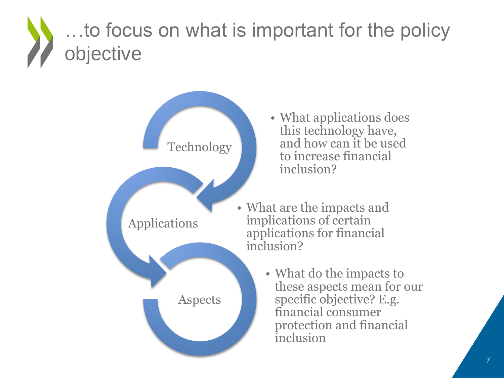#### …to focus on what is important for the policy objective

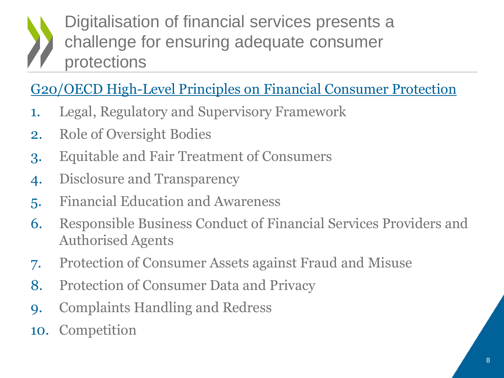Digitalisation of financial services presents a challenge for ensuring adequate consumer protections

#### G20/OECD High-Level Principles on Financial Consumer Protection

- 1. Legal, Regulatory and Supervisory Framework
- 2. Role of Oversight Bodies
- 3. Equitable and Fair Treatment of Consumers
- 4. Disclosure and Transparency
- 5. Financial Education and Awareness
- 6. Responsible Business Conduct of Financial Services Providers and Authorised Agents
- 7. Protection of Consumer Assets against Fraud and Misuse
- 8. Protection of Consumer Data and Privacy
- 9. Complaints Handling and Redress
- 10. Competition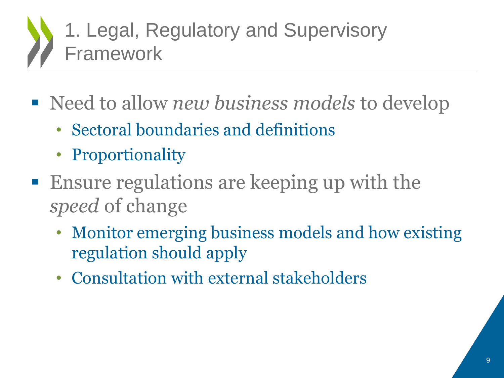## 1. Legal, Regulatory and Supervisory Framework

- Need to allow *new business models* to develop
	- Sectoral boundaries and definitions
	- Proportionality
- Ensure regulations are keeping up with the *speed* of change
	- Monitor emerging business models and how existing regulation should apply
	- Consultation with external stakeholders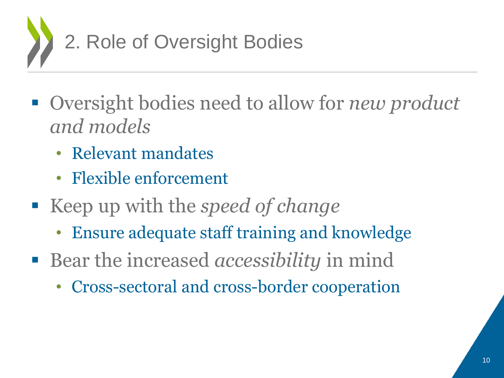

- Oversight bodies need to allow for *new product and models*
	- Relevant mandates
	- Flexible enforcement
- Keep up with the *speed of change* 
	- Ensure adequate staff training and knowledge
- Bear the increased *accessibility* in mind
	- Cross-sectoral and cross-border cooperation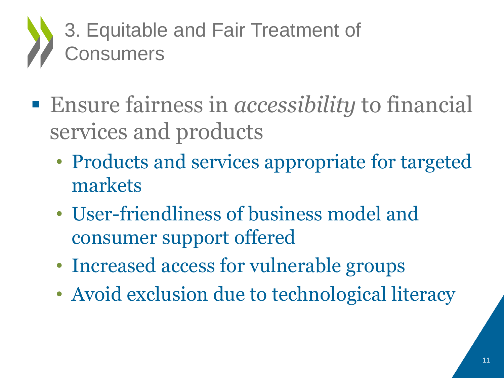

- Ensure fairness in *accessibility* to financial services and products
	- Products and services appropriate for targeted markets
	- User-friendliness of business model and consumer support offered
	- Increased access for vulnerable groups
	- Avoid exclusion due to technological literacy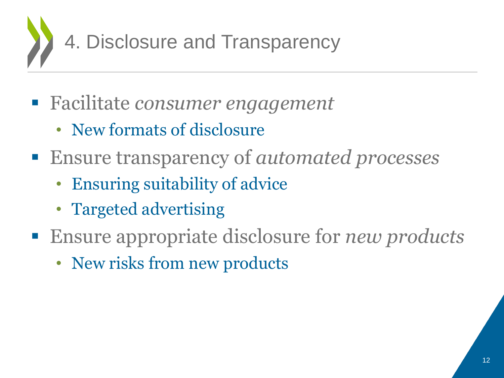

- Facilitate *consumer engagement* 
	- New formats of disclosure
- Ensure transparency of *automated processes*
	- Ensuring suitability of advice
	- Targeted advertising
- Ensure appropriate disclosure for *new products* 
	- New risks from new products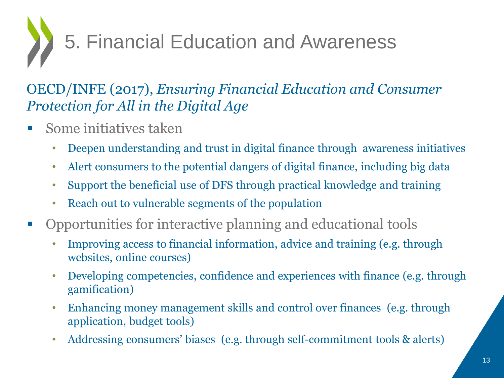5. Financial Education and Awareness

#### OECD/INFE (2017), *Ensuring Financial Education and Consumer Protection for All in the Digital Age*

- $\blacksquare$  Some initiatives taken
	- Deepen understanding and trust in digital finance through awareness initiatives
	- Alert consumers to the potential dangers of digital finance, including big data
	- Support the beneficial use of DFS through practical knowledge and training
	- Reach out to vulnerable segments of the population
- Opportunities for interactive planning and educational tools
	- Improving access to financial information, advice and training (e.g. through websites, online courses)
	- Developing competencies, confidence and experiences with finance (e.g. through gamification)
	- Enhancing money management skills and control over finances (e.g. through application, budget tools)
	- Addressing consumers' biases (e.g. through self-commitment tools & alerts)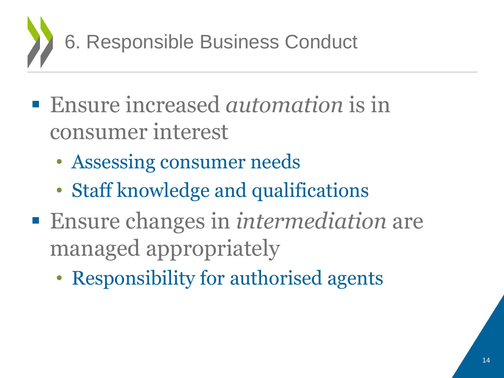

- Ensure increased *automation* is in consumer interest
	- Assessing consumer needs
	- Staff knowledge and qualifications
- Ensure changes in *intermediation* are managed appropriately
	- Responsibility for authorised agents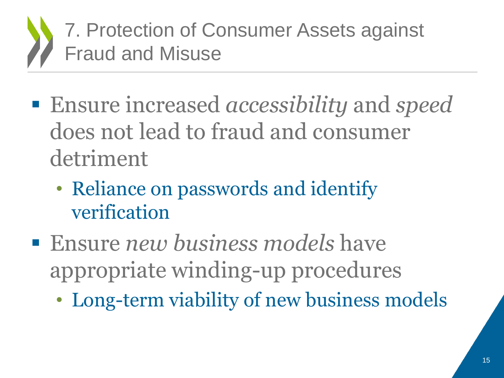7. Protection of Consumer Assets against Fraud and Misuse

- Ensure increased *accessibility* and *speed* does not lead to fraud and consumer detriment
	- Reliance on passwords and identify verification
- Ensure *new business models* have appropriate winding-up procedures
	- Long-term viability of new business models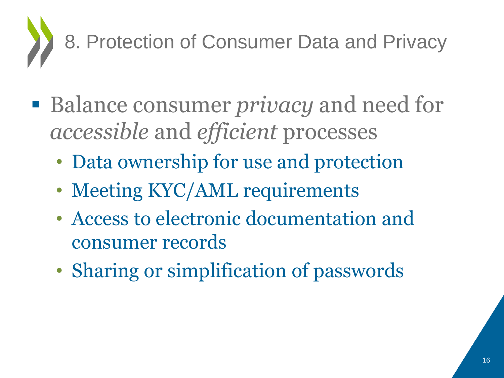

- Balance consumer *privacy* and need for *accessible* and *efficient* processes
	- Data ownership for use and protection
	- Meeting KYC/AML requirements
	- Access to electronic documentation and consumer records
	- Sharing or simplification of passwords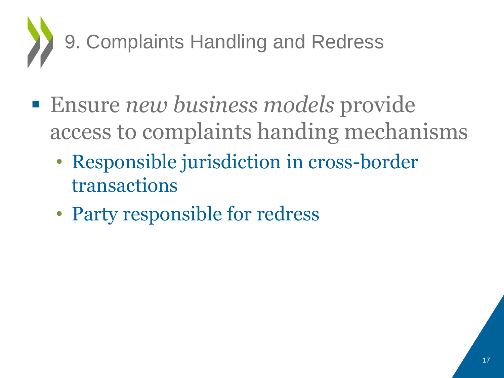

- Ensure *new business models* provide access to complaints handing mechanisms
	- Responsible jurisdiction in cross-border transactions
	- Party responsible for redress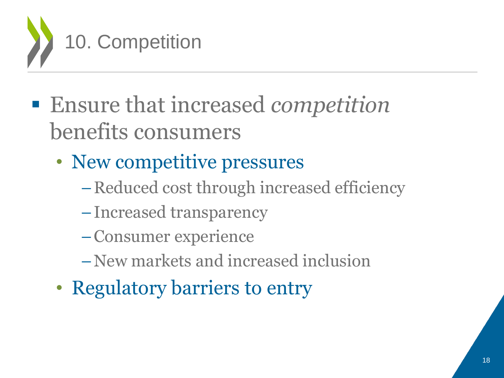

- Ensure that increased *competition* benefits consumers
	- New competitive pressures
		- –Reduced cost through increased efficiency
		- –Increased transparency
		- –Consumer experience
		- –New markets and increased inclusion
	- Regulatory barriers to entry